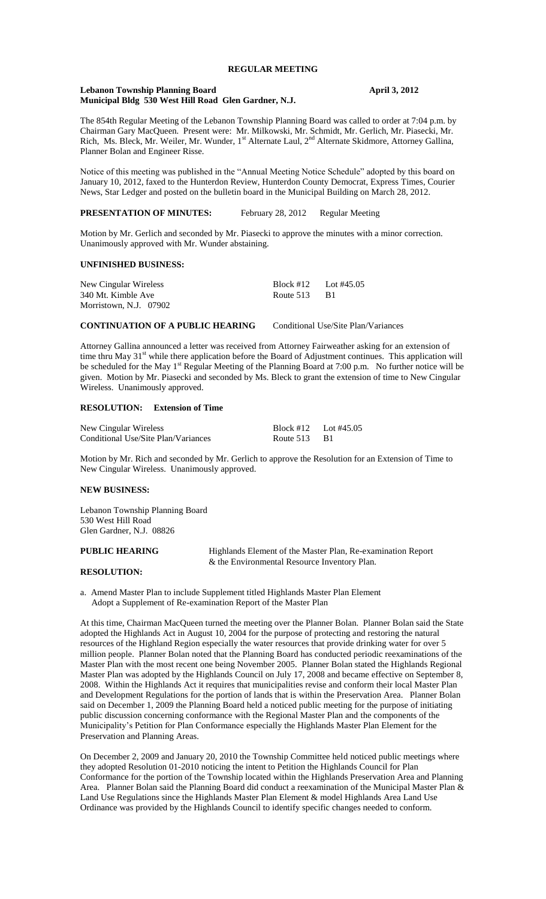# **REGULAR MEETING**

### **Lebanon Township Planning Board April 3, 2012 Municipal Bldg 530 West Hill Road Glen Gardner, N.J.**

The 854th Regular Meeting of the Lebanon Township Planning Board was called to order at 7:04 p.m. by Chairman Gary MacQueen. Present were: Mr. Milkowski, Mr. Schmidt, Mr. Gerlich, Mr. Piasecki, Mr. Rich, Ms. Bleck, Mr. Weiler, Mr. Wunder, 1<sup>st</sup> Alternate Laul, 2<sup>nd</sup> Alternate Skidmore, Attorney Gallina, Planner Bolan and Engineer Risse.

Notice of this meeting was published in the "Annual Meeting Notice Schedule" adopted by this board on January 10, 2012, faxed to the Hunterdon Review, Hunterdon County Democrat, Express Times, Courier News, Star Ledger and posted on the bulletin board in the Municipal Building on March 28, 2012.

## **PRESENTATION OF MINUTES:** February 28, 2012 Regular Meeting

Motion by Mr. Gerlich and seconded by Mr. Piasecki to approve the minutes with a minor correction. Unanimously approved with Mr. Wunder abstaining.

### **UNFINISHED BUSINESS:**

| New Cingular Wireless  | Block #12 | Lot #45.05 |
|------------------------|-----------|------------|
| 340 Mt. Kimble Ave     | Route 513 | - B1       |
| Morristown, N.J. 07902 |           |            |

## **CONTINUATION OF A PUBLIC HEARING** Conditional Use/Site Plan/Variances

Attorney Gallina announced a letter was received from Attorney Fairweather asking for an extension of time thru May  $31<sup>st</sup>$  while there application before the Board of Adjustment continues. This application will be scheduled for the May 1<sup>st</sup> Regular Meeting of the Planning Board at 7:00 p.m. No further notice will be given. Motion by Mr. Piasecki and seconded by Ms. Bleck to grant the extension of time to New Cingular Wireless. Unanimously approved.

## **RESOLUTION: Extension of Time**

| New Cingular Wireless               | Block #12 Lot #45.05 |      |
|-------------------------------------|----------------------|------|
| Conditional Use/Site Plan/Variances | Route 513            | - B1 |

Motion by Mr. Rich and seconded by Mr. Gerlich to approve the Resolution for an Extension of Time to New Cingular Wireless. Unanimously approved.

### **NEW BUSINESS:**

Lebanon Township Planning Board 530 West Hill Road Glen Gardner, N.J. 08826

**PUBLIC HEARING** Highlands Element of the Master Plan, Re-examination Report & the Environmental Resource Inventory Plan.

#### **RESOLUTION:**

a. Amend Master Plan to include Supplement titled Highlands Master Plan Element Adopt a Supplement of Re-examination Report of the Master Plan

At this time, Chairman MacQueen turned the meeting over the Planner Bolan. Planner Bolan said the State adopted the Highlands Act in August 10, 2004 for the purpose of protecting and restoring the natural resources of the Highland Region especially the water resources that provide drinking water for over 5 million people. Planner Bolan noted that the Planning Board has conducted periodic reexaminations of the Master Plan with the most recent one being November 2005. Planner Bolan stated the Highlands Regional Master Plan was adopted by the Highlands Council on July 17, 2008 and became effective on September 8, 2008. Within the Highlands Act it requires that municipalities revise and conform their local Master Plan and Development Regulations for the portion of lands that is within the Preservation Area. Planner Bolan said on December 1, 2009 the Planning Board held a noticed public meeting for the purpose of initiating public discussion concerning conformance with the Regional Master Plan and the components of the Municipality's Petition for Plan Conformance especially the Highlands Master Plan Element for the Preservation and Planning Areas.

On December 2, 2009 and January 20, 2010 the Township Committee held noticed public meetings where they adopted Resolution 01-2010 noticing the intent to Petition the Highlands Council for Plan Conformance for the portion of the Township located within the Highlands Preservation Area and Planning Area. Planner Bolan said the Planning Board did conduct a reexamination of the Municipal Master Plan & Land Use Regulations since the Highlands Master Plan Element & model Highlands Area Land Use Ordinance was provided by the Highlands Council to identify specific changes needed to conform.